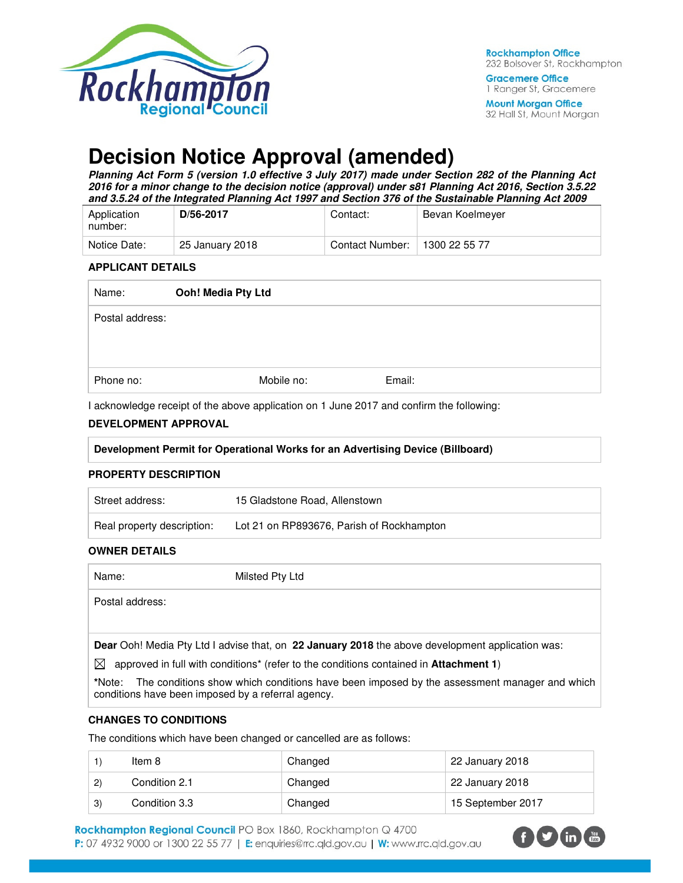

**Mount Morgan Office** 32 Hall St, Mount Morgan

# **Decision Notice Approval (amended)**

**Planning Act Form 5 (version 1.0 effective 3 July 2017) made under Section 282 of the Planning Act 2016 for a minor change to the decision notice (approval) under s81 Planning Act 2016, Section 3.5.22 and 3.5.24 of the Integrated Planning Act 1997 and Section 376 of the Sustainable Planning Act 2009** 

| Application<br>number: | D/56-2017       | Contact:        | Bevan Koelmeyer |
|------------------------|-----------------|-----------------|-----------------|
| Notice Date:           | 25 January 2018 | Contact Number: | 1300 22 55 77   |

### **APPLICANT DETAILS**

| Name:           | Ooh! Media Pty Ltd |            |        |
|-----------------|--------------------|------------|--------|
| Postal address: |                    |            |        |
|                 |                    |            |        |
|                 |                    |            |        |
| Phone no:       |                    | Mobile no: | Email: |

I acknowledge receipt of the above application on 1 June 2017 and confirm the following:

### **DEVELOPMENT APPROVAL**

**Development Permit for Operational Works for an Advertising Device (Billboard)** 

#### **PROPERTY DESCRIPTION**

| Street address:            | 15 Gladstone Road, Allenstown             |
|----------------------------|-------------------------------------------|
| Real property description: | Lot 21 on RP893676, Parish of Rockhampton |

#### **OWNER DETAILS**

| Name:                                                          | Milsted Pty Ltd                                                                                         |
|----------------------------------------------------------------|---------------------------------------------------------------------------------------------------------|
| Postal address:                                                |                                                                                                         |
|                                                                |                                                                                                         |
|                                                                | <b>Dear</b> Ooh! Media Pty Ltd I advise that, on 22 January 2018 the above development application was: |
| $\boxtimes$                                                    | approved in full with conditions* (refer to the conditions contained in Attachment 1)                   |
| *Note: ·<br>conditions have been imposed by a referral agency. | The conditions show which conditions have been imposed by the assessment manager and which              |

#### **CHANGES TO CONDITIONS**

The conditions which have been changed or cancelled are as follows:

|              | ltem 8        | Changed | 22 January 2018   |
|--------------|---------------|---------|-------------------|
| $\mathbf{2}$ | Condition 2.1 | Changed | 22 January 2018   |
| $\mathbf{3}$ | Condition 3.3 | Changed | 15 September 2017 |

Rockhampton Regional Council PO Box 1860, Rockhampton Q 4700 P: 07 4932 9000 or 1300 22 55 77 | E: enquiries@rrc.qld.gov.au | W: www.rrc.qld.gov.au

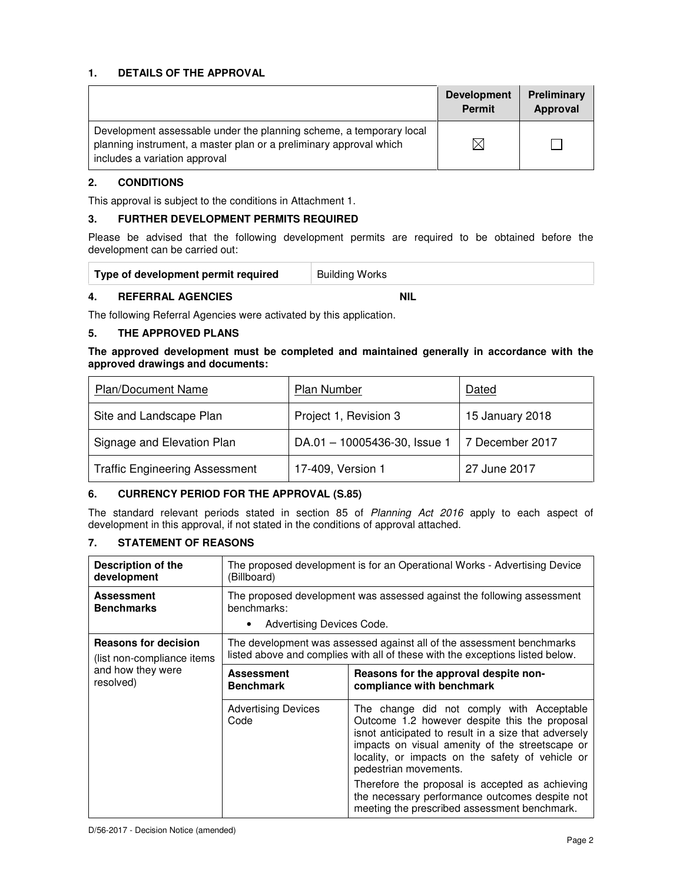# **1. DETAILS OF THE APPROVAL**

|                                                                                                                                                                            | <b>Development</b><br><b>Permit</b> | Preliminary<br>Approval |
|----------------------------------------------------------------------------------------------------------------------------------------------------------------------------|-------------------------------------|-------------------------|
| Development assessable under the planning scheme, a temporary local<br>planning instrument, a master plan or a preliminary approval which<br>includes a variation approval | $\boxtimes$                         |                         |

## **2. CONDITIONS**

This approval is subject to the conditions in Attachment 1.

## **3. FURTHER DEVELOPMENT PERMITS REQUIRED**

Please be advised that the following development permits are required to be obtained before the development can be carried out:

| Type of development permit required | Building Works |
|-------------------------------------|----------------|
|                                     |                |

# **4. REFERRAL AGENCIES NIL**

The following Referral Agencies were activated by this application.

### **5. THE APPROVED PLANS**

**The approved development must be completed and maintained generally in accordance with the approved drawings and documents:** 

| <b>Plan/Document Name</b>             | Plan Number                  | Dated           |
|---------------------------------------|------------------------------|-----------------|
| Site and Landscape Plan               | Project 1, Revision 3        | 15 January 2018 |
| Signage and Elevation Plan            | DA.01 - 10005436-30, Issue 1 | 7 December 2017 |
| <b>Traffic Engineering Assessment</b> | 17-409, Version 1            | 27 June 2017    |

## **6. CURRENCY PERIOD FOR THE APPROVAL (S.85)**

The standard relevant periods stated in section 85 of Planning Act 2016 apply to each aspect of development in this approval, if not stated in the conditions of approval attached.

# **7. STATEMENT OF REASONS**

| <b>Description of the</b>              | The proposed development is for an Operational Works - Advertising Device                                                       |                                                                                                                                                                                                                                                                                    |  |
|----------------------------------------|---------------------------------------------------------------------------------------------------------------------------------|------------------------------------------------------------------------------------------------------------------------------------------------------------------------------------------------------------------------------------------------------------------------------------|--|
| development                            | (Billboard)                                                                                                                     |                                                                                                                                                                                                                                                                                    |  |
| <b>Assessment</b><br><b>Benchmarks</b> | The proposed development was assessed against the following assessment<br>benchmarks:<br>Advertising Devices Code.<br>$\bullet$ |                                                                                                                                                                                                                                                                                    |  |
| <b>Reasons for decision</b>            | The development was assessed against all of the assessment benchmarks                                                           |                                                                                                                                                                                                                                                                                    |  |
| list non-compliance items              | listed above and complies with all of these with the exceptions listed below.                                                   |                                                                                                                                                                                                                                                                                    |  |
| and how they were                      | <b>Assessment</b>                                                                                                               | Reasons for the approval despite non-                                                                                                                                                                                                                                              |  |
| resolved)                              | <b>Benchmark</b>                                                                                                                | compliance with benchmark                                                                                                                                                                                                                                                          |  |
|                                        | <b>Advertising Devices</b><br>Code                                                                                              | The change did not comply with Acceptable<br>Outcome 1.2 however despite this the proposal<br>isnot anticipated to result in a size that adversely<br>impacts on visual amenity of the streetscape or<br>locality, or impacts on the safety of vehicle or<br>pedestrian movements. |  |
|                                        |                                                                                                                                 | Therefore the proposal is accepted as achieving<br>the necessary performance outcomes despite not<br>meeting the prescribed assessment benchmark.                                                                                                                                  |  |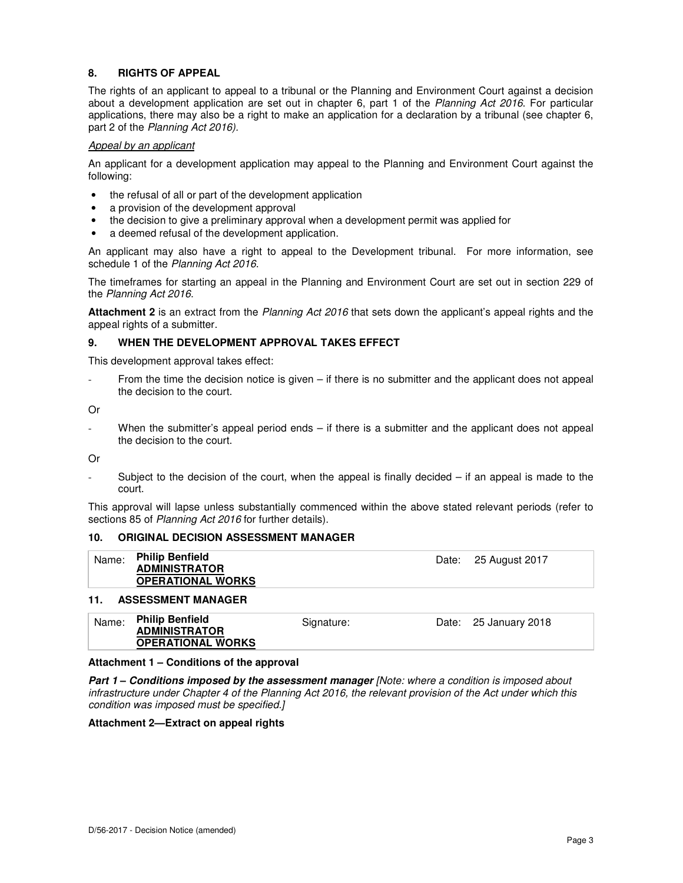## **8. RIGHTS OF APPEAL**

The rights of an applicant to appeal to a tribunal or the Planning and Environment Court against a decision about a development application are set out in chapter 6, part 1 of the Planning Act 2016. For particular applications, there may also be a right to make an application for a declaration by a tribunal (see chapter 6, part 2 of the Planning Act 2016).

#### Appeal by an applicant

An applicant for a development application may appeal to the Planning and Environment Court against the following:

- the refusal of all or part of the development application
- a provision of the development approval
- the decision to give a preliminary approval when a development permit was applied for
- a deemed refusal of the development application.

An applicant may also have a right to appeal to the Development tribunal. For more information, see schedule 1 of the Planning Act 2016.

The timeframes for starting an appeal in the Planning and Environment Court are set out in section 229 of the Planning Act 2016.

**Attachment 2** is an extract from the Planning Act 2016 that sets down the applicant's appeal rights and the appeal rights of a submitter.

#### **9. WHEN THE DEVELOPMENT APPROVAL TAKES EFFECT**

This development approval takes effect:

From the time the decision notice is given  $-$  if there is no submitter and the applicant does not appeal the decision to the court.

Or

When the submitter's appeal period ends  $-$  if there is a submitter and the applicant does not appeal the decision to the court.

Or

Subject to the decision of the court, when the appeal is finally decided  $-$  if an appeal is made to the court.

This approval will lapse unless substantially commenced within the above stated relevant periods (refer to sections 85 of Planning Act 2016 for further details).

#### **10. ORIGINAL DECISION ASSESSMENT MANAGER**

| Name: | <b>Philip Benfield</b><br><b>ADMINISTRATOR</b><br><b>OPERATIONAL WORKS</b> | Date: 25 August 2017 |
|-------|----------------------------------------------------------------------------|----------------------|
|       |                                                                            |                      |

#### **11. ASSESSMENT MANAGER**

| Name: | <b>Philip Benfield</b><br><b>ADMINISTRATOR</b> | Signature: | Date: 25 January 2018 |
|-------|------------------------------------------------|------------|-----------------------|
|       | <b>OPERATIONAL WORKS</b>                       |            |                       |

#### **Attachment 1 – Conditions of the approval**

**Part 1 – Conditions imposed by the assessment manager** [Note: where a condition is imposed about infrastructure under Chapter 4 of the Planning Act 2016, the relevant provision of the Act under which this condition was imposed must be specified.]

#### **Attachment 2—Extract on appeal rights**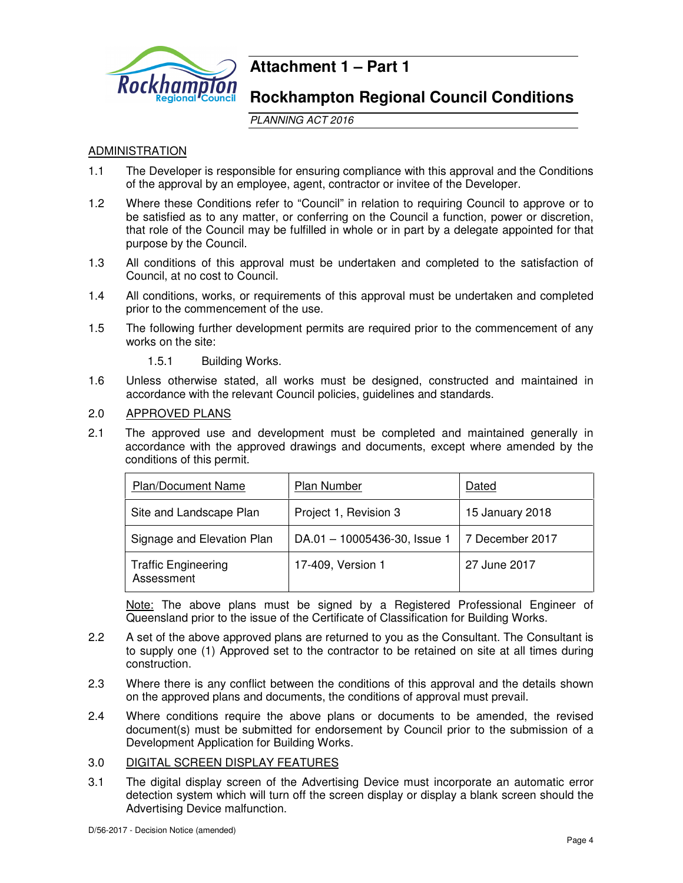

# **Attachment 1 – Part 1**

# **Rockhampton Regional Council Conditions**

PLANNING ACT 2016

# ADMINISTRATION

- 1.1 The Developer is responsible for ensuring compliance with this approval and the Conditions of the approval by an employee, agent, contractor or invitee of the Developer.
- 1.2 Where these Conditions refer to "Council" in relation to requiring Council to approve or to be satisfied as to any matter, or conferring on the Council a function, power or discretion, that role of the Council may be fulfilled in whole or in part by a delegate appointed for that purpose by the Council.
- 1.3 All conditions of this approval must be undertaken and completed to the satisfaction of Council, at no cost to Council.
- 1.4 All conditions, works, or requirements of this approval must be undertaken and completed prior to the commencement of the use.
- 1.5 The following further development permits are required prior to the commencement of any works on the site:

1.5.1 Building Works.

1.6 Unless otherwise stated, all works must be designed, constructed and maintained in accordance with the relevant Council policies, guidelines and standards.

# 2.0 APPROVED PLANS

2.1 The approved use and development must be completed and maintained generally in accordance with the approved drawings and documents, except where amended by the conditions of this permit.

| <b>Plan/Document Name</b>                | Plan Number                     | Dated           |
|------------------------------------------|---------------------------------|-----------------|
| Site and Landscape Plan                  | Project 1, Revision 3           | 15 January 2018 |
| Signage and Elevation Plan               | $DA.01 - 10005436-30$ , Issue 1 | 7 December 2017 |
| <b>Traffic Engineering</b><br>Assessment | 17-409, Version 1               | 27 June 2017    |

Note: The above plans must be signed by a Registered Professional Engineer of Queensland prior to the issue of the Certificate of Classification for Building Works.

- 2.2 A set of the above approved plans are returned to you as the Consultant. The Consultant is to supply one (1) Approved set to the contractor to be retained on site at all times during construction.
- 2.3 Where there is any conflict between the conditions of this approval and the details shown on the approved plans and documents, the conditions of approval must prevail.
- 2.4 Where conditions require the above plans or documents to be amended, the revised document(s) must be submitted for endorsement by Council prior to the submission of a Development Application for Building Works.

# 3.0 DIGITAL SCREEN DISPLAY FEATURES

3.1 The digital display screen of the Advertising Device must incorporate an automatic error detection system which will turn off the screen display or display a blank screen should the Advertising Device malfunction.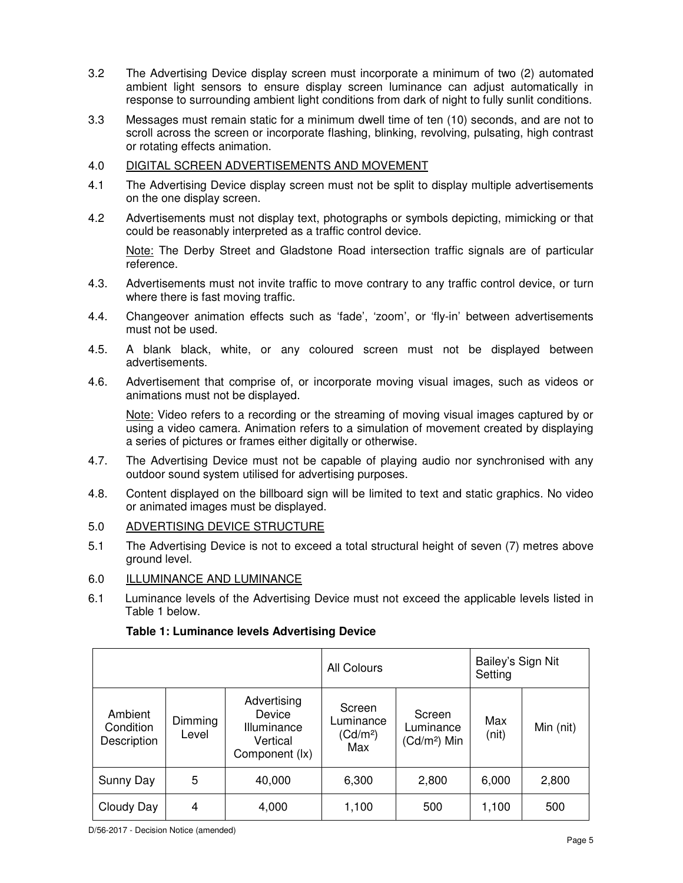- 3.2 The Advertising Device display screen must incorporate a minimum of two (2) automated ambient light sensors to ensure display screen luminance can adjust automatically in response to surrounding ambient light conditions from dark of night to fully sunlit conditions.
- 3.3 Messages must remain static for a minimum dwell time of ten (10) seconds, and are not to scroll across the screen or incorporate flashing, blinking, revolving, pulsating, high contrast or rotating effects animation.
- 4.0 DIGITAL SCREEN ADVERTISEMENTS AND MOVEMENT
- 4.1 The Advertising Device display screen must not be split to display multiple advertisements on the one display screen.
- 4.2 Advertisements must not display text, photographs or symbols depicting, mimicking or that could be reasonably interpreted as a traffic control device.

Note: The Derby Street and Gladstone Road intersection traffic signals are of particular reference.

- 4.3. Advertisements must not invite traffic to move contrary to any traffic control device, or turn where there is fast moving traffic.
- 4.4. Changeover animation effects such as 'fade', 'zoom', or 'fly-in' between advertisements must not be used.
- 4.5. A blank black, white, or any coloured screen must not be displayed between advertisements.
- 4.6. Advertisement that comprise of, or incorporate moving visual images, such as videos or animations must not be displayed.

Note: Video refers to a recording or the streaming of moving visual images captured by or using a video camera. Animation refers to a simulation of movement created by displaying a series of pictures or frames either digitally or otherwise.

- 4.7. The Advertising Device must not be capable of playing audio nor synchronised with any outdoor sound system utilised for advertising purposes.
- 4.8. Content displayed on the billboard sign will be limited to text and static graphics. No video or animated images must be displayed.
- 5.0 ADVERTISING DEVICE STRUCTURE
- 5.1 The Advertising Device is not to exceed a total structural height of seven (7) metres above ground level.
- 6.0 ILLUMINANCE AND LUMINANCE
- 6.1 Luminance levels of the Advertising Device must not exceed the applicable levels listed in Table 1 below.

| Table 1: Luminance levels Advertising Device |  |  |  |
|----------------------------------------------|--|--|--|
|----------------------------------------------|--|--|--|

|                                     |                  |                                                                    | All Colours                                        |                                                 | Bailey's Sign Nit<br>Setting |           |
|-------------------------------------|------------------|--------------------------------------------------------------------|----------------------------------------------------|-------------------------------------------------|------------------------------|-----------|
| Ambient<br>Condition<br>Description | Dimming<br>Level | Advertising<br>Device<br>Illuminance<br>Vertical<br>Component (lx) | Screen<br>Luminance<br>(Cd/m <sup>2</sup> )<br>Max | Screen<br>Luminance<br>(Cd/m <sup>2</sup> ) Min | Max<br>(nit)                 | Min (nit) |
| Sunny Day                           | 5                | 40,000                                                             | 6,300                                              | 2,800                                           | 6,000                        | 2,800     |
| Cloudy Day                          | 4                | 4,000                                                              | 1,100                                              | 500                                             | 1,100                        | 500       |

D/56-2017 - Decision Notice (amended)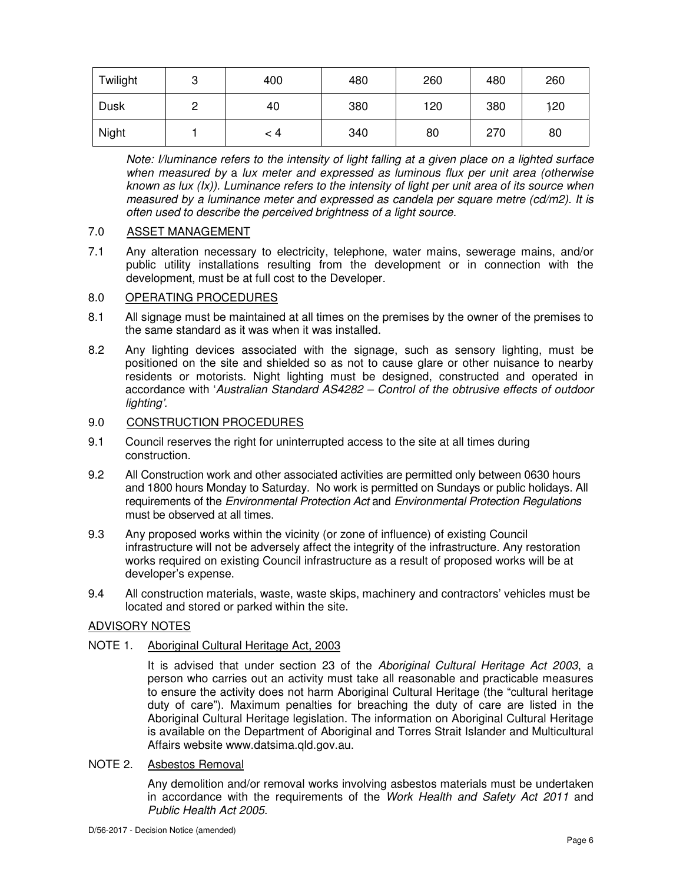| Twilight    | ັບ | 400 | 480 | 260 | 480 | 260 |
|-------------|----|-----|-----|-----|-----|-----|
| <b>Dusk</b> |    | 40  | 380 | 120 | 380 | 120 |
| Night       |    | < 4 | 340 | 80  | 270 | 80  |

Note: I/luminance refers to the intensity of light falling at a given place on a lighted surface when measured by a lux meter and expressed as luminous flux per unit area (otherwise known as  $lux (lx)$ ). Luminance refers to the intensity of light per unit area of its source when measured by a luminance meter and expressed as candela per square metre (cd/m2). It is often used to describe the perceived brightness of a light source.

# 7.0 ASSET MANAGEMENT

7.1 Any alteration necessary to electricity, telephone, water mains, sewerage mains, and/or public utility installations resulting from the development or in connection with the development, must be at full cost to the Developer.

# 8.0 OPERATING PROCEDURES

- 8.1 All signage must be maintained at all times on the premises by the owner of the premises to the same standard as it was when it was installed.
- 8.2 Any lighting devices associated with the signage, such as sensory lighting, must be positioned on the site and shielded so as not to cause glare or other nuisance to nearby residents or motorists. Night lighting must be designed, constructed and operated in accordance with 'Australian Standard AS4282 – Control of the obtrusive effects of outdoor lighting'.

# 9.0 CONSTRUCTION PROCEDURES

- 9.1 Council reserves the right for uninterrupted access to the site at all times during construction.
- 9.2 All Construction work and other associated activities are permitted only between 0630 hours and 1800 hours Monday to Saturday. No work is permitted on Sundays or public holidays. All requirements of the Environmental Protection Act and Environmental Protection Regulations must be observed at all times.
- 9.3 Any proposed works within the vicinity (or zone of influence) of existing Council infrastructure will not be adversely affect the integrity of the infrastructure. Any restoration works required on existing Council infrastructure as a result of proposed works will be at developer's expense.
- 9.4 All construction materials, waste, waste skips, machinery and contractors' vehicles must be located and stored or parked within the site.

# ADVISORY NOTES

# NOTE 1. Aboriginal Cultural Heritage Act. 2003

It is advised that under section 23 of the Aboriginal Cultural Heritage Act 2003, a person who carries out an activity must take all reasonable and practicable measures to ensure the activity does not harm Aboriginal Cultural Heritage (the "cultural heritage duty of care"). Maximum penalties for breaching the duty of care are listed in the Aboriginal Cultural Heritage legislation. The information on Aboriginal Cultural Heritage is available on the Department of Aboriginal and Torres Strait Islander and Multicultural Affairs website www.datsima.qld.gov.au.

# NOTE 2. Asbestos Removal

Any demolition and/or removal works involving asbestos materials must be undertaken in accordance with the requirements of the Work Health and Safety Act 2011 and Public Health Act 2005.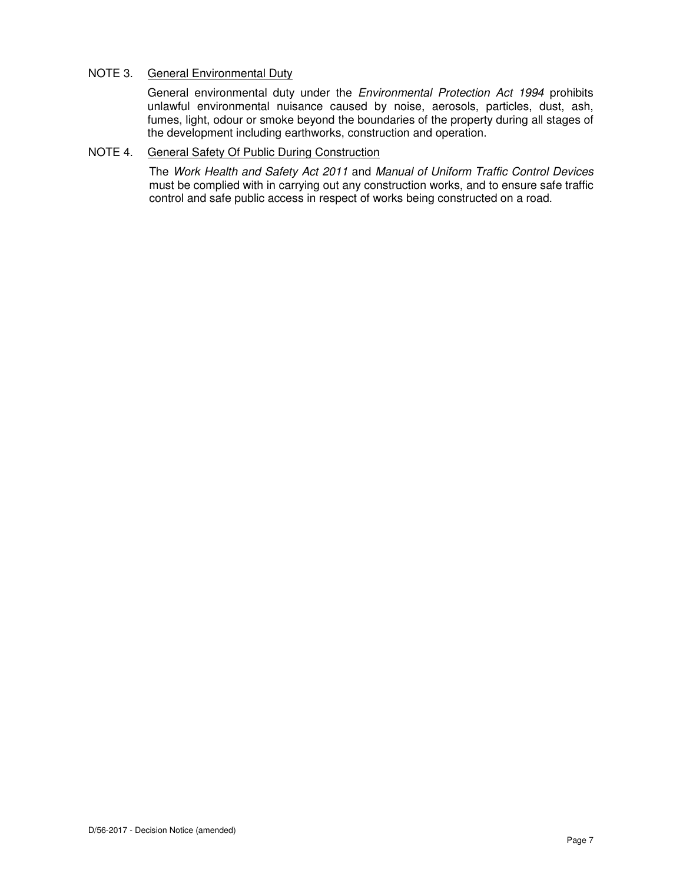# NOTE 3. General Environmental Duty

General environmental duty under the *Environmental Protection Act 1994* prohibits unlawful environmental nuisance caused by noise, aerosols, particles, dust, ash, fumes, light, odour or smoke beyond the boundaries of the property during all stages of the development including earthworks, construction and operation.

# NOTE 4. General Safety Of Public During Construction

The Work Health and Safety Act 2011 and Manual of Uniform Traffic Control Devices must be complied with in carrying out any construction works, and to ensure safe traffic control and safe public access in respect of works being constructed on a road.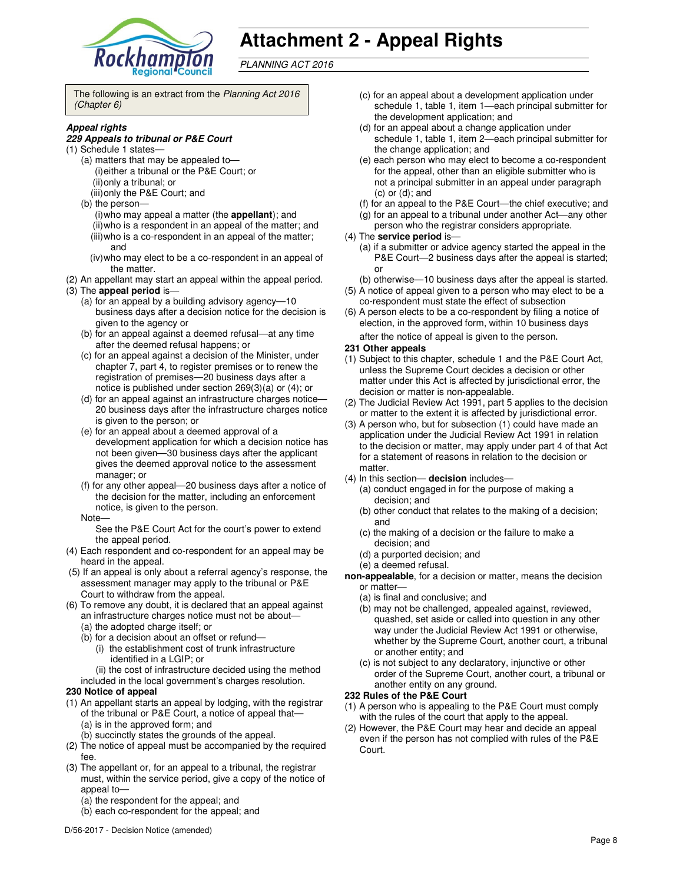

# **Attachment 2 - Appeal Rights**

PLANNING ACT 2016

The following is an extract from the Planning Act 2016 (Chapter 6)

#### **Appeal rights**

#### **229 Appeals to tribunal or P&E Court**

- (1) Schedule 1 states—
	- (a) matters that may be appealed to— (i) either a tribunal or the P&E Court; or (ii) only a tribunal; or (iii) only the P&E Court; and
	- (b) the person—
		- (i) who may appeal a matter (the **appellant**); and (ii) who is a respondent in an appeal of the matter; and (iii) who is a co-respondent in an appeal of the matter; and
		- (iv) who may elect to be a co-respondent in an appeal of the matter.
- (2) An appellant may start an appeal within the appeal period.
- (3) The **appeal period** is—
	- (a) for an appeal by a building advisory agency—10 business days after a decision notice for the decision is given to the agency or
	- (b) for an appeal against a deemed refusal—at any time after the deemed refusal happens; or
	- (c) for an appeal against a decision of the Minister, under chapter 7, part 4, to register premises or to renew the registration of premises—20 business days after a notice is published under section 269(3)(a) or (4); or
	- (d) for an appeal against an infrastructure charges notice— 20 business days after the infrastructure charges notice is given to the person; or
	- (e) for an appeal about a deemed approval of a development application for which a decision notice has not been given—30 business days after the applicant gives the deemed approval notice to the assessment manager; or
	- (f) for any other appeal—20 business days after a notice of the decision for the matter, including an enforcement notice, is given to the person.
	- Note—

See the P&E Court Act for the court's power to extend the appeal period.

- (4) Each respondent and co-respondent for an appeal may be heard in the appeal.
- (5) If an appeal is only about a referral agency's response, the assessment manager may apply to the tribunal or P&E Court to withdraw from the appeal.
- (6) To remove any doubt, it is declared that an appeal against an infrastructure charges notice must not be about—
	- (a) the adopted charge itself; or
	- (b) for a decision about an offset or refund—
		- (i) the establishment cost of trunk infrastructure identified in a LGIP; or
	- (ii) the cost of infrastructure decided using the method included in the local government's charges resolution.

#### **230 Notice of appeal**

- (1) An appellant starts an appeal by lodging, with the registrar of the tribunal or P&E Court, a notice of appeal that— (a) is in the approved form; and
	- (b) succinctly states the grounds of the appeal.
- (2) The notice of appeal must be accompanied by the required fee.
- (3) The appellant or, for an appeal to a tribunal, the registrar must, within the service period, give a copy of the notice of appeal to-
	- (a) the respondent for the appeal; and
	- (b) each co-respondent for the appeal; and
- (c) for an appeal about a development application under schedule 1, table 1, item 1—each principal submitter for the development application; and
- (d) for an appeal about a change application under schedule 1, table 1, item 2—each principal submitter for the change application; and
- (e) each person who may elect to become a co-respondent for the appeal, other than an eligible submitter who is not a principal submitter in an appeal under paragraph (c) or (d); and
- (f) for an appeal to the P&E Court—the chief executive; and
- (g) for an appeal to a tribunal under another Act—any other
- person who the registrar considers appropriate.

#### (4) The **service period** is—

- (a) if a submitter or advice agency started the appeal in the P&E Court-2 business days after the appeal is started; or
- (b) otherwise—10 business days after the appeal is started.
- (5) A notice of appeal given to a person who may elect to be a co-respondent must state the effect of subsection
- (6) A person elects to be a co-respondent by filing a notice of election, in the approved form, within 10 business days after the notice of appeal is given to the person*.*

#### **231 Other appeals**

- (1) Subject to this chapter, schedule 1 and the P&E Court Act, unless the Supreme Court decides a decision or other matter under this Act is affected by jurisdictional error, the decision or matter is non-appealable.
- (2) The Judicial Review Act 1991, part 5 applies to the decision or matter to the extent it is affected by jurisdictional error.
- (3) A person who, but for subsection (1) could have made an application under the Judicial Review Act 1991 in relation to the decision or matter, may apply under part 4 of that Act for a statement of reasons in relation to the decision or matter.
- (4) In this section— **decision** includes—
	- (a) conduct engaged in for the purpose of making a decision; and
	- (b) other conduct that relates to the making of a decision; and
	- (c) the making of a decision or the failure to make a decision; and
	- (d) a purported decision; and
	- (e) a deemed refusal.
- **non-appealable**, for a decision or matter, means the decision or matter—
	- (a) is final and conclusive; and
	- (b) may not be challenged, appealed against, reviewed, quashed, set aside or called into question in any other way under the Judicial Review Act 1991 or otherwise, whether by the Supreme Court, another court, a tribunal or another entity; and
	- (c) is not subject to any declaratory, injunctive or other order of the Supreme Court, another court, a tribunal or another entity on any ground.

#### **232 Rules of the P&E Court**

- (1) A person who is appealing to the P&E Court must comply with the rules of the court that apply to the appeal.
- (2) However, the P&E Court may hear and decide an appeal even if the person has not complied with rules of the P&E Court.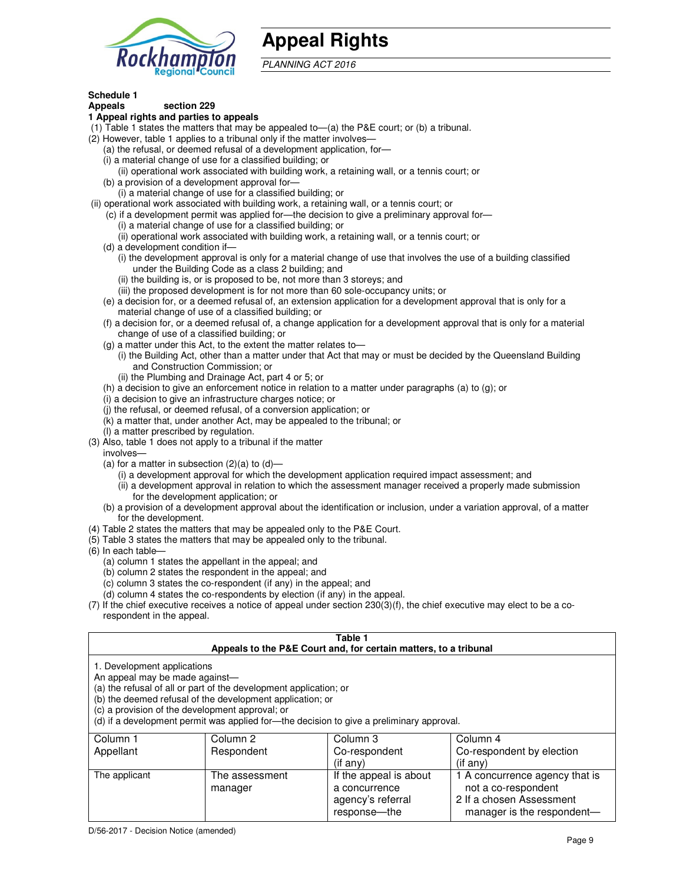

# **Appeal Rights**

PLANNING ACT 2016

# **Schedule 1**

#### **Appeals section 229 1 Appeal rights and parties to appeals**

- (1) Table 1 states the matters that may be appealed to—(a) the P&E court; or (b) a tribunal.
- (2) However, table 1 applies to a tribunal only if the matter involves—
	- (a) the refusal, or deemed refusal of a development application, for—
	- (i) a material change of use for a classified building; or
	- (ii) operational work associated with building work, a retaining wall, or a tennis court; or (b) a provision of a development approval for—
	- (i) a material change of use for a classified building; or
- (ii) operational work associated with building work, a retaining wall, or a tennis court; or
	- (c) if a development permit was applied for—the decision to give a preliminary approval for—
		- (i) a material change of use for a classified building; or
		- (ii) operational work associated with building work, a retaining wall, or a tennis court; or
	- (d) a development condition if—
		- (i) the development approval is only for a material change of use that involves the use of a building classified under the Building Code as a class 2 building; and
		- (ii) the building is, or is proposed to be, not more than 3 storeys; and
		- (iii) the proposed development is for not more than 60 sole-occupancy units; or
	- (e) a decision for, or a deemed refusal of, an extension application for a development approval that is only for a material change of use of a classified building; or
	- (f) a decision for, or a deemed refusal of, a change application for a development approval that is only for a material change of use of a classified building; or
	- (g) a matter under this Act, to the extent the matter relates to—
		- (i) the Building Act, other than a matter under that Act that may or must be decided by the Queensland Building and Construction Commission; or
		- (ii) the Plumbing and Drainage Act, part 4 or 5; or
	- (h) a decision to give an enforcement notice in relation to a matter under paragraphs (a) to (g); or
	- (i) a decision to give an infrastructure charges notice; or
	- (j) the refusal, or deemed refusal, of a conversion application; or
	- (k) a matter that, under another Act, may be appealed to the tribunal; or
	- (l) a matter prescribed by regulation.
- (3) Also, table 1 does not apply to a tribunal if the matter
- involves—
	- (a) for a matter in subsection  $(2)(a)$  to  $(d)$ 
		- (i) a development approval for which the development application required impact assessment; and
		- (ii) a development approval in relation to which the assessment manager received a properly made submission for the development application; or
	- (b) a provision of a development approval about the identification or inclusion, under a variation approval, of a matter for the development.
- (4) Table 2 states the matters that may be appealed only to the P&E Court.
- (5) Table 3 states the matters that may be appealed only to the tribunal.
- (6) In each table—
	- (a) column 1 states the appellant in the appeal; and
	- (b) column 2 states the respondent in the appeal; and
	- (c) column 3 states the co-respondent (if any) in the appeal; and
	- (d) column 4 states the co-respondents by election (if any) in the appeal.
- (7) If the chief executive receives a notice of appeal under section 230(3)(f), the chief executive may elect to be a corespondent in the appeal.

| Table 1<br>Appeals to the P&E Court and, for certain matters, to a tribunal                                      |                                                                                                                                |                                                                                          |                                                                                   |  |  |
|------------------------------------------------------------------------------------------------------------------|--------------------------------------------------------------------------------------------------------------------------------|------------------------------------------------------------------------------------------|-----------------------------------------------------------------------------------|--|--|
| 1. Development applications<br>An appeal may be made against-<br>(c) a provision of the development approval; or | (a) the refusal of all or part of the development application; or<br>(b) the deemed refusal of the development application; or | (d) if a development permit was applied for-the decision to give a preliminary approval. |                                                                                   |  |  |
| Column 1                                                                                                         | Column 2                                                                                                                       | Column 3                                                                                 | Column 4                                                                          |  |  |
| Appellant<br>Co-respondent<br>Co-respondent by election<br>Respondent<br>$($ if any $)$<br>(i f any)             |                                                                                                                                |                                                                                          |                                                                                   |  |  |
| The applicant                                                                                                    | The assessment<br>manager                                                                                                      | If the appeal is about<br>a concurrence<br>agency's referral                             | 1 A concurrence agency that is<br>not a co-respondent<br>2 If a chosen Assessment |  |  |

response—the

manager is the respondent-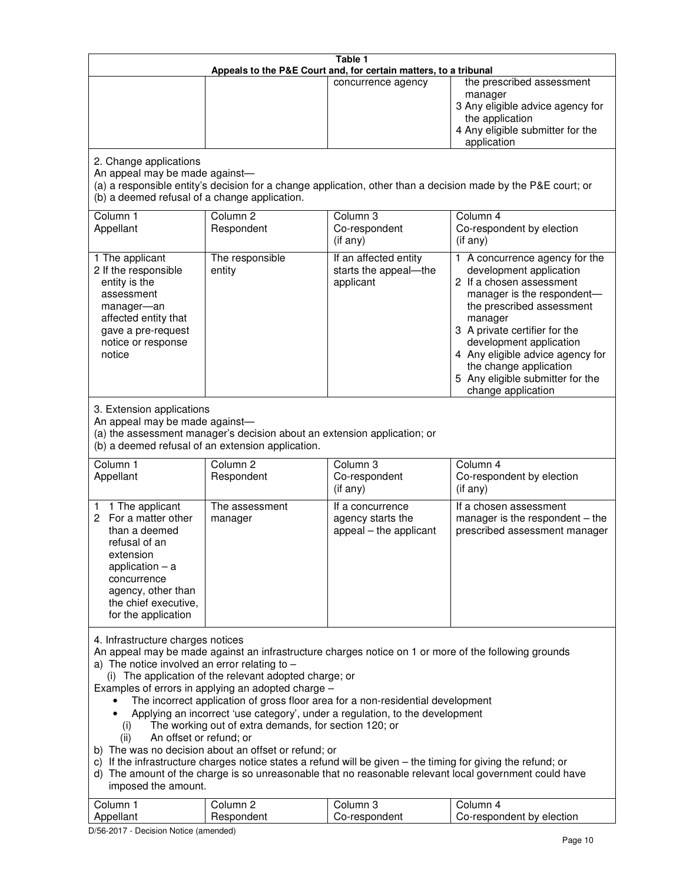|                                                                                                                                                                                                                                                                                                                                                                                                                                                                                                                                                                                                                                                                                                                                                                                                                                                                                                                                                                   |                                                                                                                               | Table 1<br>Appeals to the P&E Court and, for certain matters, to a tribunal |                                                                                                                                                                                                                                                                                                                                                 |  |
|-------------------------------------------------------------------------------------------------------------------------------------------------------------------------------------------------------------------------------------------------------------------------------------------------------------------------------------------------------------------------------------------------------------------------------------------------------------------------------------------------------------------------------------------------------------------------------------------------------------------------------------------------------------------------------------------------------------------------------------------------------------------------------------------------------------------------------------------------------------------------------------------------------------------------------------------------------------------|-------------------------------------------------------------------------------------------------------------------------------|-----------------------------------------------------------------------------|-------------------------------------------------------------------------------------------------------------------------------------------------------------------------------------------------------------------------------------------------------------------------------------------------------------------------------------------------|--|
|                                                                                                                                                                                                                                                                                                                                                                                                                                                                                                                                                                                                                                                                                                                                                                                                                                                                                                                                                                   |                                                                                                                               | concurrence agency                                                          | the prescribed assessment<br>manager<br>3 Any eligible advice agency for<br>the application<br>4 Any eligible submitter for the<br>application                                                                                                                                                                                                  |  |
| 2. Change applications<br>An appeal may be made against-<br>(b) a deemed refusal of a change application.                                                                                                                                                                                                                                                                                                                                                                                                                                                                                                                                                                                                                                                                                                                                                                                                                                                         |                                                                                                                               |                                                                             | (a) a responsible entity's decision for a change application, other than a decision made by the P&E court; or                                                                                                                                                                                                                                   |  |
| Column 1<br>Appellant                                                                                                                                                                                                                                                                                                                                                                                                                                                                                                                                                                                                                                                                                                                                                                                                                                                                                                                                             | Column <sub>2</sub><br>Respondent                                                                                             | Column <sub>3</sub><br>Co-respondent<br>(if any)                            | Column 4<br>Co-respondent by election<br>(if any)                                                                                                                                                                                                                                                                                               |  |
| 1 The applicant<br>2 If the responsible<br>entity is the<br>assessment<br>manager-an<br>affected entity that<br>gave a pre-request<br>notice or response<br>notice                                                                                                                                                                                                                                                                                                                                                                                                                                                                                                                                                                                                                                                                                                                                                                                                | The responsible<br>entity                                                                                                     | If an affected entity<br>starts the appeal-the<br>applicant                 | 1 A concurrence agency for the<br>development application<br>2 If a chosen assessment<br>manager is the respondent-<br>the prescribed assessment<br>manager<br>3 A private certifier for the<br>development application<br>4 Any eligible advice agency for<br>the change application<br>5 Any eligible submitter for the<br>change application |  |
| 3. Extension applications<br>An appeal may be made against-                                                                                                                                                                                                                                                                                                                                                                                                                                                                                                                                                                                                                                                                                                                                                                                                                                                                                                       | (a) the assessment manager's decision about an extension application; or<br>(b) a deemed refusal of an extension application. |                                                                             |                                                                                                                                                                                                                                                                                                                                                 |  |
| Column 1<br>Appellant                                                                                                                                                                                                                                                                                                                                                                                                                                                                                                                                                                                                                                                                                                                                                                                                                                                                                                                                             | Column <sub>2</sub><br>Respondent                                                                                             | Column 3<br>Co-respondent<br>(if any)                                       | Column 4<br>Co-respondent by election<br>(if any)                                                                                                                                                                                                                                                                                               |  |
| 1 The applicant<br>1.<br>For a matter other<br>2<br>than a deemed<br>refusal of an<br>extension<br>application $-$ a<br>concurrence<br>agency, other than<br>the chief executive,<br>for the application                                                                                                                                                                                                                                                                                                                                                                                                                                                                                                                                                                                                                                                                                                                                                          | The assessment<br>manager                                                                                                     | If a concurrence<br>agency starts the<br>appeal - the applicant             | If a chosen assessment<br>manager is the respondent - the<br>prescribed assessment manager                                                                                                                                                                                                                                                      |  |
| 4. Infrastructure charges notices<br>An appeal may be made against an infrastructure charges notice on 1 or more of the following grounds<br>a) The notice involved an error relating to $-$<br>(i) The application of the relevant adopted charge; or<br>Examples of errors in applying an adopted charge -<br>The incorrect application of gross floor area for a non-residential development<br>Applying an incorrect 'use category', under a regulation, to the development<br>The working out of extra demands, for section 120; or<br>(i)<br>An offset or refund; or<br>(ii)<br>b) The was no decision about an offset or refund; or<br>c) If the infrastructure charges notice states a refund will be given - the timing for giving the refund; or<br>d) The amount of the charge is so unreasonable that no reasonable relevant local government could have<br>imposed the amount.<br>Column 1<br>Column <sub>2</sub><br>Column <sub>3</sub><br>Column 4 |                                                                                                                               |                                                                             |                                                                                                                                                                                                                                                                                                                                                 |  |
| Appellant                                                                                                                                                                                                                                                                                                                                                                                                                                                                                                                                                                                                                                                                                                                                                                                                                                                                                                                                                         | Respondent                                                                                                                    | Co-respondent                                                               | Co-respondent by election                                                                                                                                                                                                                                                                                                                       |  |

D/56-2017 - Decision Notice (amended)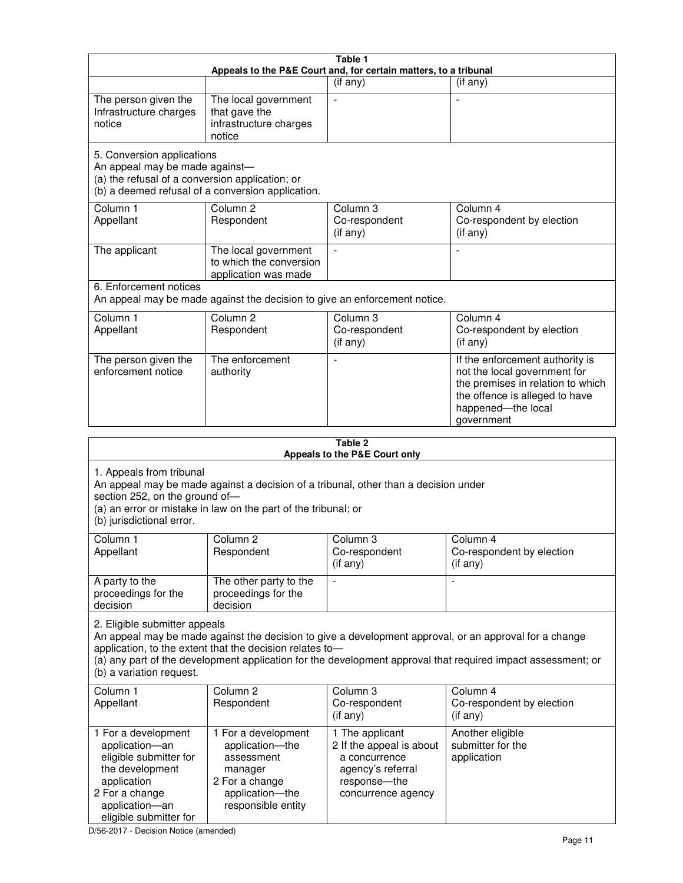| Table 1<br>Appeals to the P&E Court and, for certain matters, to a tribunal                                                                                                                                                                                                                                                                     |                                                                                                                                                       |                                                                                                                         |                                                                                                                                                                            |  |  |
|-------------------------------------------------------------------------------------------------------------------------------------------------------------------------------------------------------------------------------------------------------------------------------------------------------------------------------------------------|-------------------------------------------------------------------------------------------------------------------------------------------------------|-------------------------------------------------------------------------------------------------------------------------|----------------------------------------------------------------------------------------------------------------------------------------------------------------------------|--|--|
|                                                                                                                                                                                                                                                                                                                                                 |                                                                                                                                                       | (if any)                                                                                                                | (if any)                                                                                                                                                                   |  |  |
| The person given the<br>Infrastructure charges<br>notice                                                                                                                                                                                                                                                                                        | The local government<br>that gave the<br>infrastructure charges<br>notice                                                                             |                                                                                                                         |                                                                                                                                                                            |  |  |
| 5. Conversion applications<br>An appeal may be made against-<br>(a) the refusal of a conversion application; or                                                                                                                                                                                                                                 | (b) a deemed refusal of a conversion application.                                                                                                     |                                                                                                                         |                                                                                                                                                                            |  |  |
| Column 1<br>Appellant                                                                                                                                                                                                                                                                                                                           | Column <sub>2</sub><br>Respondent                                                                                                                     | Column 3<br>Co-respondent<br>(if any)                                                                                   | Column 4<br>Co-respondent by election<br>(if any)                                                                                                                          |  |  |
| The applicant                                                                                                                                                                                                                                                                                                                                   | The local government<br>to which the conversion<br>application was made                                                                               |                                                                                                                         |                                                                                                                                                                            |  |  |
| 6. Enforcement notices                                                                                                                                                                                                                                                                                                                          | An appeal may be made against the decision to give an enforcement notice.                                                                             |                                                                                                                         |                                                                                                                                                                            |  |  |
| Column 1<br>Appellant                                                                                                                                                                                                                                                                                                                           | Column <sub>2</sub><br>Respondent                                                                                                                     | Column <sub>3</sub><br>Co-respondent<br>(if any)                                                                        | Column 4<br>Co-respondent by election<br>(if any)                                                                                                                          |  |  |
| The person given the<br>enforcement notice                                                                                                                                                                                                                                                                                                      | The enforcement<br>authority                                                                                                                          |                                                                                                                         | If the enforcement authority is<br>not the local government for<br>the premises in relation to which<br>the offence is alleged to have<br>happened-the local<br>government |  |  |
| Table 2<br>Appeals to the P&E Court only                                                                                                                                                                                                                                                                                                        |                                                                                                                                                       |                                                                                                                         |                                                                                                                                                                            |  |  |
| 1. Appeals from tribunal<br>section 252, on the ground of-<br>(b) jurisdictional error.                                                                                                                                                                                                                                                         | An appeal may be made against a decision of a tribunal, other than a decision under<br>(a) an error or mistake in law on the part of the tribunal; or |                                                                                                                         |                                                                                                                                                                            |  |  |
| Column 1<br>Appellant                                                                                                                                                                                                                                                                                                                           | Column 2<br>Respondent                                                                                                                                | Column 3<br>Co-respondent<br>(if any)                                                                                   | Column 4<br>Co-respondent by election<br>(i f any)                                                                                                                         |  |  |
| A party to the<br>proceedings for the<br>decision                                                                                                                                                                                                                                                                                               | The other party to the<br>proceedings for the<br>decision                                                                                             |                                                                                                                         |                                                                                                                                                                            |  |  |
| 2. Eligible submitter appeals<br>An appeal may be made against the decision to give a development approval, or an approval for a change<br>application, to the extent that the decision relates to-<br>(a) any part of the development application for the development approval that required impact assessment; or<br>(b) a variation request. |                                                                                                                                                       |                                                                                                                         |                                                                                                                                                                            |  |  |
| Column 1<br>Appellant                                                                                                                                                                                                                                                                                                                           | Column <sub>2</sub><br>Respondent                                                                                                                     | Column 3<br>Co-respondent<br>(if any)                                                                                   | Column 4<br>Co-respondent by election<br>(if any)                                                                                                                          |  |  |
| 1 For a development<br>application-an<br>eligible submitter for<br>the development<br>application<br>2 For a change<br>application-an                                                                                                                                                                                                           | 1 For a development<br>application-the<br>assessment<br>manager<br>2 For a change<br>application-the<br>responsible entity                            | 1 The applicant<br>2 If the appeal is about<br>a concurrence<br>agency's referral<br>response-the<br>concurrence agency | Another eligible<br>submitter for the<br>application                                                                                                                       |  |  |

D/56-2017 - Decision Notice (amended)

eligible submitter for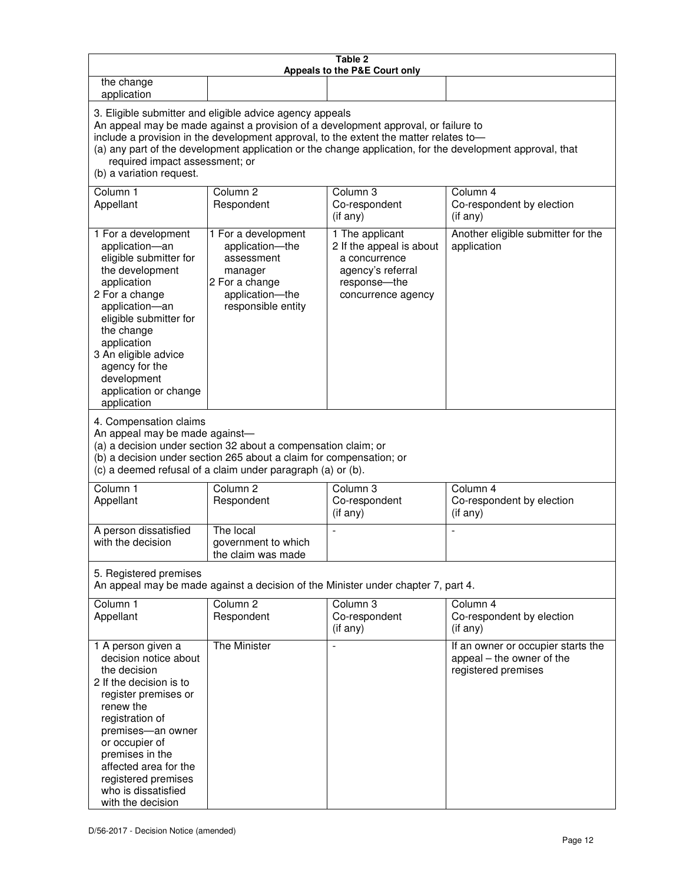| Table 2<br>Appeals to the P&E Court only                                                                                                                                                                                                                                                                                                                                                                           |                                                                                                                                                                                                      |                                                                                                                         |                                                                                        |  |  |
|--------------------------------------------------------------------------------------------------------------------------------------------------------------------------------------------------------------------------------------------------------------------------------------------------------------------------------------------------------------------------------------------------------------------|------------------------------------------------------------------------------------------------------------------------------------------------------------------------------------------------------|-------------------------------------------------------------------------------------------------------------------------|----------------------------------------------------------------------------------------|--|--|
| the change<br>application                                                                                                                                                                                                                                                                                                                                                                                          |                                                                                                                                                                                                      |                                                                                                                         |                                                                                        |  |  |
| 3. Eligible submitter and eligible advice agency appeals<br>An appeal may be made against a provision of a development approval, or failure to<br>include a provision in the development approval, to the extent the matter relates to-<br>(a) any part of the development application or the change application, for the development approval, that<br>required impact assessment; or<br>(b) a variation request. |                                                                                                                                                                                                      |                                                                                                                         |                                                                                        |  |  |
| Column 1<br>Appellant                                                                                                                                                                                                                                                                                                                                                                                              | Column <sub>2</sub><br>Respondent                                                                                                                                                                    | Column 3<br>Co-respondent<br>(if any)                                                                                   | Column 4<br>Co-respondent by election<br>(if any)                                      |  |  |
| 1 For a development<br>application-an<br>eligible submitter for<br>the development<br>application<br>2 For a change<br>application-an<br>eligible submitter for<br>the change<br>application<br>3 An eligible advice<br>agency for the<br>development<br>application or change<br>application                                                                                                                      | 1 For a development<br>application-the<br>assessment<br>manager<br>2 For a change<br>application-the<br>responsible entity                                                                           | 1 The applicant<br>2 If the appeal is about<br>a concurrence<br>agency's referral<br>response-the<br>concurrence agency | Another eligible submitter for the<br>application                                      |  |  |
| 4. Compensation claims<br>An appeal may be made against-                                                                                                                                                                                                                                                                                                                                                           | (a) a decision under section 32 about a compensation claim; or<br>(b) a decision under section 265 about a claim for compensation; or<br>(c) a deemed refusal of a claim under paragraph (a) or (b). |                                                                                                                         |                                                                                        |  |  |
| Column <sub>1</sub><br>Appellant                                                                                                                                                                                                                                                                                                                                                                                   | Column <sub>2</sub><br>Respondent                                                                                                                                                                    | Column 3<br>Co-respondent<br>(if any)                                                                                   | Column 4<br>Co-respondent by election<br>(if any)                                      |  |  |
| A person dissatisfied<br>with the decision                                                                                                                                                                                                                                                                                                                                                                         | The local<br>government to which<br>the claim was made                                                                                                                                               | ÷,                                                                                                                      | $\overline{a}$                                                                         |  |  |
| 5. Registered premises                                                                                                                                                                                                                                                                                                                                                                                             |                                                                                                                                                                                                      | An appeal may be made against a decision of the Minister under chapter 7, part 4.                                       |                                                                                        |  |  |
| Column 1<br>Appellant                                                                                                                                                                                                                                                                                                                                                                                              | Column <sub>2</sub><br>Respondent                                                                                                                                                                    | Column <sub>3</sub><br>Co-respondent<br>(if any)                                                                        | Column 4<br>Co-respondent by election<br>(if any)                                      |  |  |
| 1 A person given a<br>decision notice about<br>the decision<br>2 If the decision is to<br>register premises or<br>renew the<br>registration of<br>premises-an owner<br>or occupier of<br>premises in the<br>affected area for the<br>registered premises<br>who is dissatisfied<br>with the decision                                                                                                               | <b>The Minister</b>                                                                                                                                                                                  |                                                                                                                         | If an owner or occupier starts the<br>appeal - the owner of the<br>registered premises |  |  |